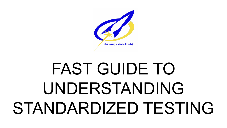

## FAST GUIDE TO UNDERSTANDING STANDARDIZED TESTING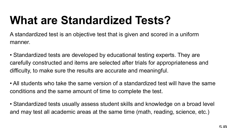## **What are Standardized Tests?**

A standardized test is an objective test that is given and scored in a uniform manner.

- Standardized tests are developed by educational testing experts. They are carefully constructed and items are selected after trials for appropriateness and difficulty, to make sure the results are accurate and meaningful.
- All students who take the same version of a standardized test will have the same conditions and the same amount of time to complete the test.
- Standardized tests usually assess student skills and knowledge on a broad level and may test all academic areas at the same time (math, reading, science, etc.)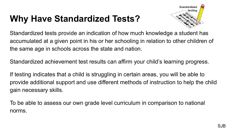## **Why Have Standardized Tests?**



Standardized tests provide an indication of how much knowledge a student has accumulated at a given point in his or her schooling in relation to other children of the same age in schools across the state and nation.

Standardized achievement test results can affirm your child's learning progress.

If testing indicates that a child is struggling in certain areas, you will be able to provide additional support and use different methods of instruction to help the child gain necessary skills.

To be able to assess our own grade level curriculum in comparison to national norms.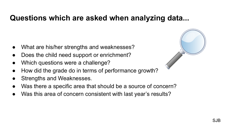#### **Questions which are asked when analyzing data...**

- What are his/her strengths and weaknesses?
- Does the child need support or enrichment?
- Which questions were a challenge?
- How did the grade do in terms of performance growth?
- Strengths and Weaknesses.
- Was there a specific area that should be a source of concern?
- Was this area of concern consistent with last year's results?

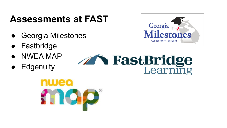## **Assessments at FAST**

- Georgia Milestones
- Fastbridge
- **NWEA MAP**
- Edgenuity



## **The FastBridge**

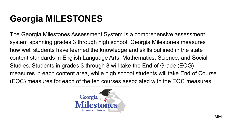## **Georgia MILESTONES**

The Georgia Milestones Assessment System is a comprehensive assessment system spanning grades 3 through high school. Georgia Milestones measures how well students have learned the knowledge and skills outlined in the state content standards in English Language Arts, Mathematics, Science, and Social Studies. Students in grades 3 through 8 will take the End of Grade (EOG) measures in each content area, while high school students will take End of Course (EOC) measures for each of the ten courses associated with the EOC measures.

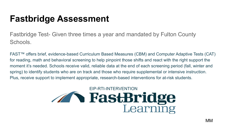### **Fastbridge Assessment**

Fastbridge Test- Given three times a year and mandated by Fulton County Schools.

FAST™ offers brief, evidence-based Curriculum Based Measures (CBM) and Computer Adaptive Tests (CAT) for reading, math and behavioral screening to help pinpoint those shifts and react with the right support the moment it's needed. Schools receive valid, reliable data at the end of each screening period (fall, winter and spring) to identify students who are on track and those who require supplemental or intensive instruction. Plus, receive support to implement appropriate, research-based interventions for at-risk students.

# **EIP-RTI-INTERVENTION**<br>**EastBridge**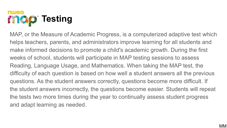

MAP, or the Measure of Academic Progress, is a computerized adaptive test which helps teachers, parents, and administrators improve learning for all students and make informed decisions to promote a child's academic growth. During the first weeks of school, students will participate in MAP testing sessions to assess Reading, Language Usage, and Mathematics. When taking the MAP test, the difficulty of each question is based on how well a student answers all the previous questions. As the student answers correctly, questions become more difficult. If the student answers incorrectly, the questions become easier. Students will repeat the tests two more times during the year to continually assess student progress and adapt learning as needed.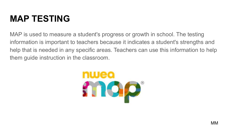#### **MAP TESTING**

MAP is used to measure a student's progress or growth in school. The testing information is important to teachers because it indicates a student's strengths and help that is needed in any specific areas. Teachers can use this information to help them guide instruction in the classroom.

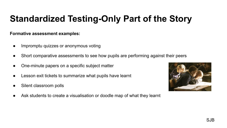### **Standardized Testing-Only Part of the Story**

#### **Formative assessment examples:**

- Impromptu quizzes or anonymous voting
- Short comparative assessments to see how pupils are performing against their peers
- One-minute papers on a specific subject matter
- Lesson exit tickets to summarize what pupils have learnt
- Silent classroom polls
- Ask students to create a visualisation or doodle map of what they learnt

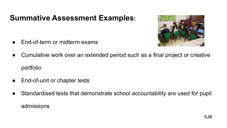#### **Summative Assessment Examples:**



- End-of-term or midterm exams
- Cumulative work over an extended period such as a final project or creative portfolio
- End-of-unit or chapter tests
- Standardised tests that demonstrate school accountability are used for pupil admissions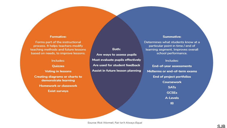#### **Formative:**

Forms part of the instructional process. It helps teachers modify teaching methods and future lessons based on needs, to improve lessons.

#### Includes:

#### Quizzes

**Voting in lessons Creating diagrams or charts to** demonstrate learning

**Homework or classwork** 

**Exist surveys** 

Both: Are ways to assess pupils Must evaluate pupils effectively Are used for student feedback Assist in future lesson planning

#### **Summative:**

Determines what students know at a particular point in time / end of learning segment. Improves overall school performance.

#### Includes:

**End-of-year assessments** Midterms or end-of-term exams **End of project portfolios Coursework SATs GCSEs** A-Levels **IB**